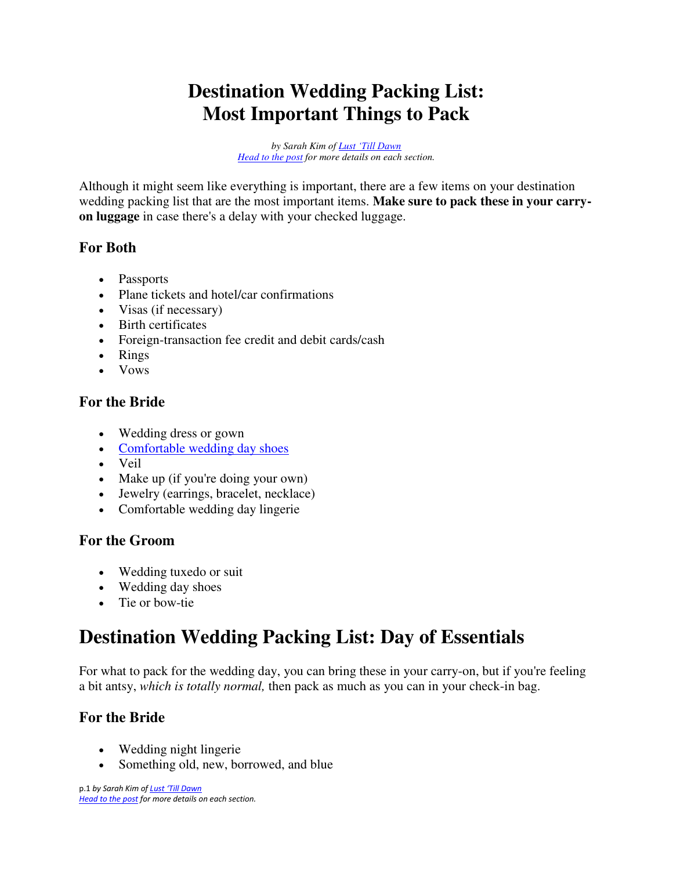## **Destination Wedding Packing List: Most Important Things to Pack**

*by Sarah Kim of Lust ['Till Dawn](http://www.fromlusttilldawn.com/) [Head to the post f](https://www.fromlusttilldawn.com/the-most-complete-stress-free-destination-wedding-packing-list)or more details on each section.* 

Although it might seem like everything is important, there are a few items on your destination wedding packing list that are the most important items. **Make sure to pack these in your carryon luggage** in case there's a delay with your checked luggage.

#### **For Both**

- Passports
- Plane tickets and hotel/car confirmations
- Visas (if necessary)
- Birth certificates
- Foreign-transaction fee credit and debit cards/cash
- Rings
- Vows

#### **For the Bride**

- Wedding dress or gown
- [Comfortable wedding day shoes](https://rstyle.me/~aDS0h)
- Veil
- Make up (if you're doing your own)
- Jewelry (earrings, bracelet, necklace)
- Comfortable wedding day lingerie

### **For the Groom**

- Wedding tuxedo or suit
- Wedding day shoes
- Tie or bow-tie

## **Destination Wedding Packing List: Day of Essentials**

For what to pack for the wedding day, you can bring these in your carry-on, but if you're feeling a bit antsy, *which is totally normal,* then pack as much as you can in your check-in bag.

### **For the Bride**

- Wedding night lingerie
- Something old, new, borrowed, and blue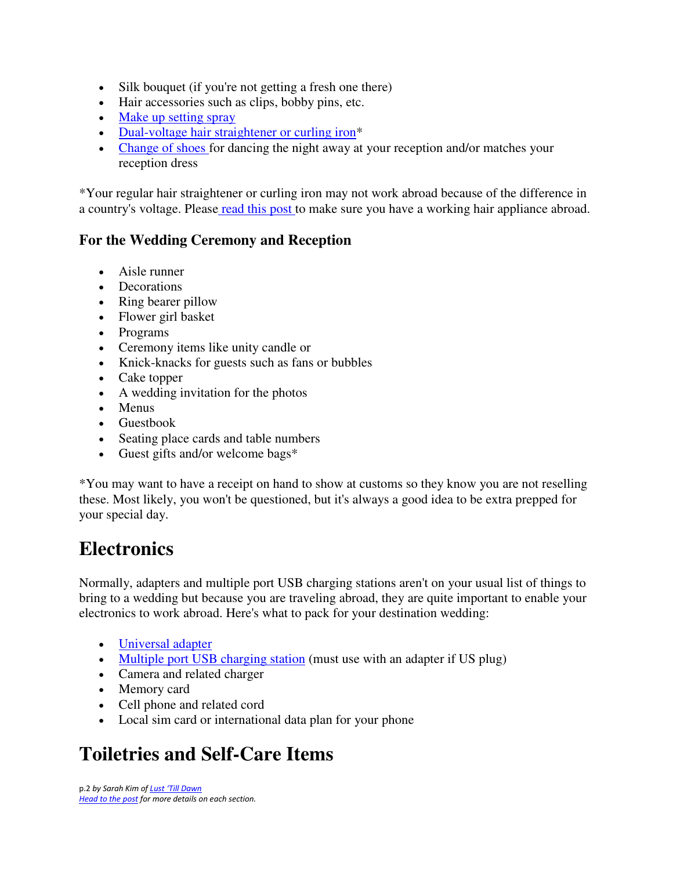- Silk bouquet (if you're not getting a fresh one there)
- Hair accessories such as clips, bobby pins, etc.
- [Make up setting spray](https://amzn.to/2OlbBrv)
- [Dual-voltage hair straightener or curling iron\\*](https://www.fromlusttilldawn.com/all-about-using-dual-voltage-hair-appliances-abroad/)
- [Change of shoes f](https://rstyle.me/~aDS30)or dancing the night away at your reception and/or matches your reception dress

\*Your regular hair straightener or curling iron may not work abroad because of the difference in a country's voltage. Pleas[e read this post t](https://www.fromlusttilldawn.com/all-about-using-dual-voltage-hair-appliances-abroad/)o make sure you have a working hair appliance abroad.

#### **For the Wedding Ceremony and Reception**

- Aisle runner
- Decorations
- Ring bearer pillow
- Flower girl basket
- Programs
- Ceremony items like unity candle or
- Knick-knacks for guests such as fans or bubbles
- Cake topper
- A wedding invitation for the photos
- Menus
- Guestbook
- Seating place cards and table numbers
- Guest gifts and/or welcome bags\*

\*You may want to have a receipt on hand to show at customs so they know you are not reselling these. Most likely, you won't be questioned, but it's always a good idea to be extra prepped for your special day.

### **Electronics**

Normally, adapters and multiple port USB charging stations aren't on your usual list of things to bring to a wedding but because you are traveling abroad, they are quite important to enable your electronics to work abroad. Here's what to pack for your destination wedding:

- [Universal adapter](https://amzn.to/2xfeXot)
- [Multiple port USB charging station](https://amzn.to/2CUBBsl) (must use with an adapter if US plug)
- Camera and related charger
- Memory card
- Cell phone and related cord
- Local sim card or international data plan for your phone

## **Toiletries and Self-Care Items**

p.2 *by Sarah Kim of Lust ['Till Dawn](http://www.fromlusttilldawn.com/) [Head to the post f](https://www.fromlusttilldawn.com/the-most-complete-stress-free-destination-wedding-packing-list)or more details on each section.*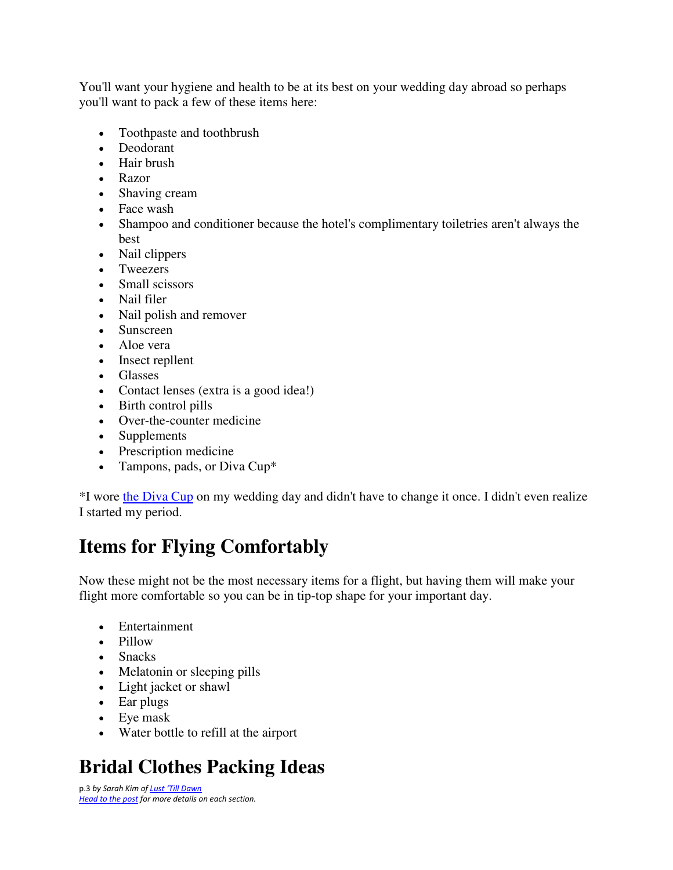You'll want your hygiene and health to be at its best on your wedding day abroad so perhaps you'll want to pack a few of these items here:

- Toothpaste and toothbrush
- Deodorant
- Hair brush
- Razor
- Shaving cream
- Face wash
- Shampoo and conditioner because the hotel's complimentary toiletries aren't always the best
- Nail clippers
- Tweezers
- Small scissors
- Nail filer
- Nail polish and remover
- Sunscreen
- Aloe vera
- Insect repllent
- Glasses
- Contact lenses (extra is a good idea!)
- Birth control pills
- Over-the-counter medicine
- Supplements
- Prescription medicine
- Tampons, pads, or Diva Cup<sup>\*</sup>

\*I wore [the Diva Cup](https://www.fromlusttilldawn.com/why-you-should-use-the-diva-cup-for-travel/) on my wedding day and didn't have to change it once. I didn't even realize I started my period.

### **Items for Flying Comfortably**

Now these might not be the most necessary items for a flight, but having them will make your flight more comfortable so you can be in tip-top shape for your important day.

- Entertainment
- Pillow
- Snacks
- Melatonin or sleeping pills
- Light jacket or shawl
- Ear plugs
- Eye mask
- Water bottle to refill at the airport

# **Bridal Clothes Packing Ideas**

p.3 *by Sarah Kim of Lust ['Till Dawn](http://www.fromlusttilldawn.com/) [Head to the post f](https://www.fromlusttilldawn.com/the-most-complete-stress-free-destination-wedding-packing-list)or more details on each section.*